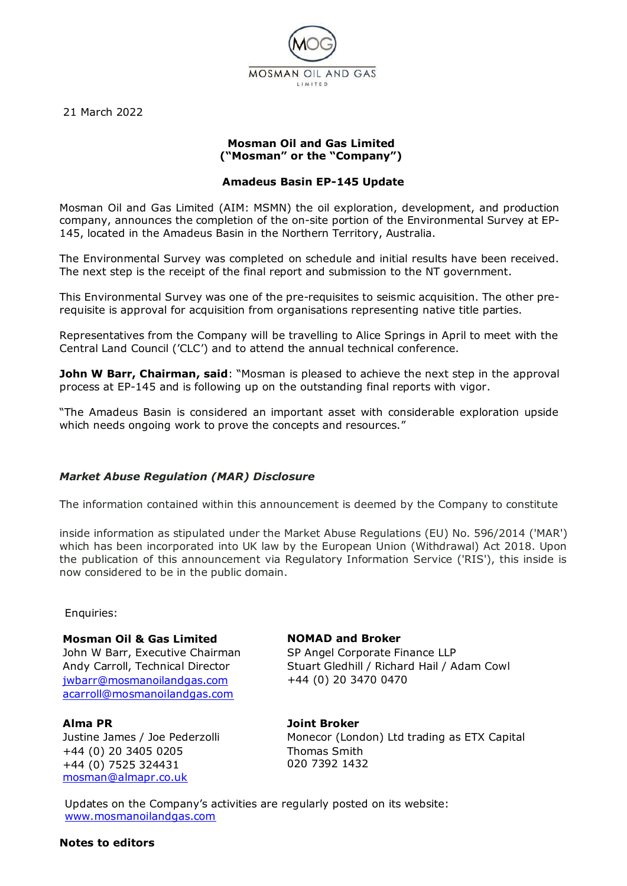

21 March 2022

## **Mosman Oil and Gas Limited ("Mosman" or the "Company")**

## **Amadeus Basin EP-145 Update**

Mosman Oil and Gas Limited (AIM: MSMN) the oil exploration, development, and production company, announces the completion of the on-site portion of the Environmental Survey at EP-145, located in the Amadeus Basin in the Northern Territory, Australia.

The Environmental Survey was completed on schedule and initial results have been received. The next step is the receipt of the final report and submission to the NT government.

This Environmental Survey was one of the pre-requisites to seismic acquisition. The other prerequisite is approval for acquisition from organisations representing native title parties.

Representatives from the Company will be travelling to Alice Springs in April to meet with the Central Land Council ('CLC') and to attend the annual technical conference.

**John W Barr, Chairman, said:** "Mosman is pleased to achieve the next step in the approval process at EP-145 and is following up on the outstanding final reports with vigor.

"The Amadeus Basin is considered an important asset with considerable exploration upside which needs ongoing work to prove the concepts and resources."

#### *Market Abuse Regulation (MAR) Disclosure*

The information contained within this announcement is deemed by the Company to constitute

inside information as stipulated under the Market Abuse Regulations (EU) No. 596/2014 ('MAR') which has been incorporated into UK law by the European Union (Withdrawal) Act 2018. Upon the publication of this announcement via Regulatory Information Service ('RIS'), this inside is now considered to be in the public domain.

Enquiries:

#### **Mosman Oil & Gas Limited**

John W Barr, Executive Chairman Andy Carroll, Technical Director [jwbarr@mosmanoilandgas.com](mailto:jwbarr@mosmanoilandgas.com) [acarroll@mosmanoilandgas.com](mailto:acarroll@mosmanoilandgas.com)

#### **Alma PR**

Justine James / Joe Pederzolli +44 (0) 20 3405 0205 +44 (0) 7525 324431 [mosman@almapr.co.uk](mailto:mosman@almapr.co.uk)

## **NOMAD and Broker**

SP Angel Corporate Finance LLP Stuart Gledhill / Richard Hail / Adam Cowl +44 (0) 20 3470 0470

# **Joint Broker**

Monecor (London) Ltd trading as ETX Capital Thomas Smith 020 7392 1432

Updates on the Company's activities are regularly posted on its website: [www.mosmanoilandgas.com](http://www.mosmanoilandgas.com/)

#### **Notes to editors**